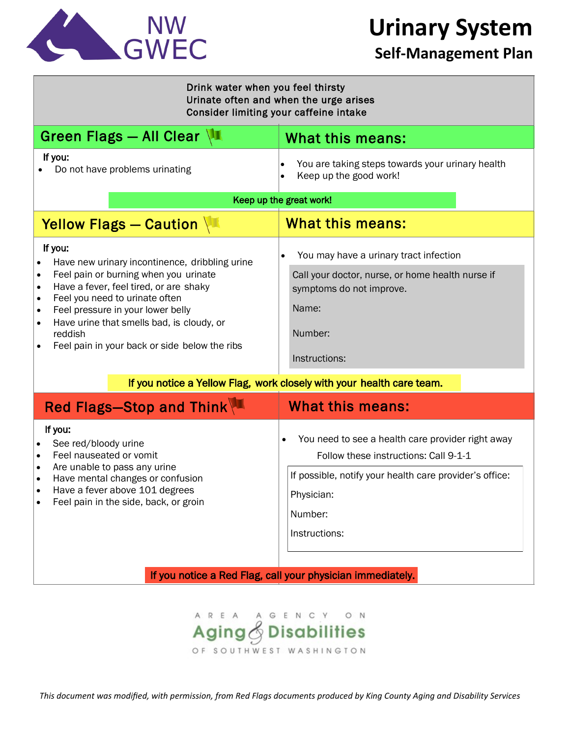

**Urinary System**

### **Self-Management Plan**

| Drink water when you feel thirsty<br>Urinate often and when the urge arises<br>Consider limiting your caffeine intake                                                                                                                                                                                                                                                                         |                                                                                                                                                                                                                                      |
|-----------------------------------------------------------------------------------------------------------------------------------------------------------------------------------------------------------------------------------------------------------------------------------------------------------------------------------------------------------------------------------------------|--------------------------------------------------------------------------------------------------------------------------------------------------------------------------------------------------------------------------------------|
| Green Flags - All Clear $\sqrt{1}$                                                                                                                                                                                                                                                                                                                                                            | What this means:                                                                                                                                                                                                                     |
| If you:<br>Do not have problems urinating                                                                                                                                                                                                                                                                                                                                                     | You are taking steps towards your urinary health<br>$\bullet$<br>Keep up the good work!                                                                                                                                              |
| Keep up the great work!                                                                                                                                                                                                                                                                                                                                                                       |                                                                                                                                                                                                                                      |
| Yellow Flags - Caution                                                                                                                                                                                                                                                                                                                                                                        | <b>What this means:</b>                                                                                                                                                                                                              |
| If you:<br>Have new urinary incontinence, dribbling urine<br>Feel pain or burning when you urinate<br>$\bullet$<br>Have a fever, feel tired, or are shaky<br>$\bullet$<br>Feel you need to urinate often<br>$\bullet$<br>Feel pressure in your lower belly<br>$\bullet$<br>Have urine that smells bad, is cloudy, or<br>$\bullet$<br>reddish<br>Feel pain in your back or side below the ribs | You may have a urinary tract infection<br>Call your doctor, nurse, or home health nurse if<br>symptoms do not improve.<br>Name:<br>Number:<br>Instructions:<br>If you notice a Yellow Flag, work closely with your health care team. |
| Red Flags-Stop and Think                                                                                                                                                                                                                                                                                                                                                                      | <b>What this means:</b>                                                                                                                                                                                                              |
| If you:<br>See red/bloody urine<br>Feel nauseated or vomit<br>$\bullet$<br>Are unable to pass any urine<br>$\bullet$<br>Have mental changes or confusion<br>Have a fever above 101 degrees<br>Feel pain in the side, back, or groin                                                                                                                                                           | You need to see a health care provider right away<br>Follow these instructions: Call 9-1-1<br>If possible, notify your health care provider's office:<br>Physician:<br>Number:                                                       |

If you notice a Red Flag, call your physician immediately.

Instructions:



*This document was modified, with permission, from Red Flags documents produced by King County Aging and Disability Services*